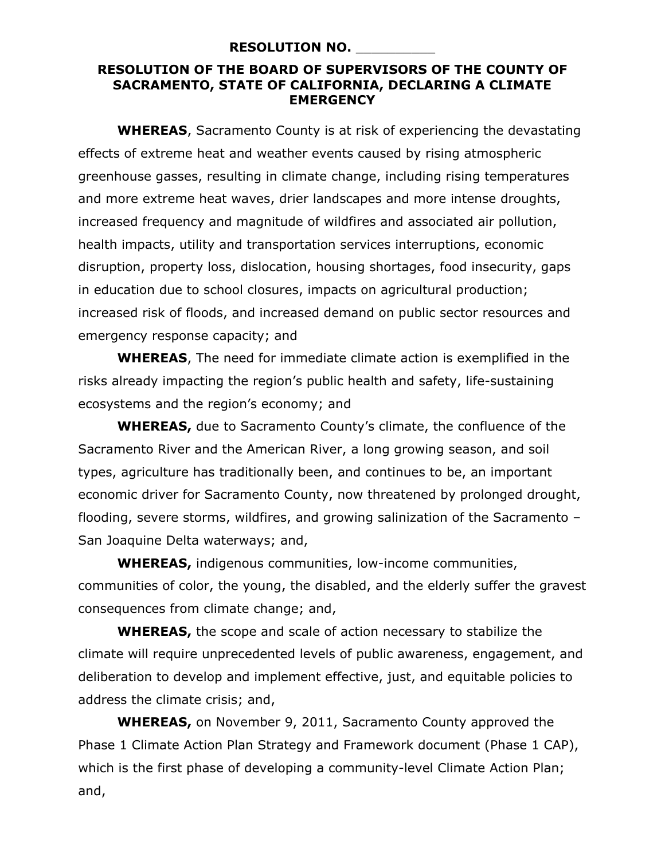## **RESOLUTION NO.** \_\_\_\_\_\_\_\_\_\_

## **RESOLUTION OF THE BOARD OF SUPERVISORS OF THE COUNTY OF SACRAMENTO, STATE OF CALIFORNIA, DECLARING A CLIMATE EMERGENCY**

**WHEREAS**, Sacramento County is at risk of experiencing the devastating effects of extreme heat and weather events caused by rising atmospheric greenhouse gasses, resulting in climate change, including rising temperatures and more extreme heat waves, drier landscapes and more intense droughts, increased frequency and magnitude of wildfires and associated air pollution, health impacts, utility and transportation services interruptions, economic disruption, property loss, dislocation, housing shortages, food insecurity, gaps in education due to school closures, impacts on agricultural production; increased risk of floods, and increased demand on public sector resources and emergency response capacity; and

**WHEREAS**, The need for immediate climate action is exemplified in the risks already impacting the region's public health and safety, life-sustaining ecosystems and the region's economy; and

**WHEREAS,** due to Sacramento County's climate, the confluence of the Sacramento River and the American River, a long growing season, and soil types, agriculture has traditionally been, and continues to be, an important economic driver for Sacramento County, now threatened by prolonged drought, flooding, severe storms, wildfires, and growing salinization of the Sacramento – San Joaquine Delta waterways; and,

**WHEREAS,** indigenous communities, low-income communities, communities of color, the young, the disabled, and the elderly suffer the gravest consequences from climate change; and,

**WHEREAS,** the scope and scale of action necessary to stabilize the climate will require unprecedented levels of public awareness, engagement, and deliberation to develop and implement effective, just, and equitable policies to address the climate crisis; and,

**WHEREAS,** on November 9, 2011, Sacramento County approved the Phase 1 Climate Action Plan Strategy and Framework document (Phase 1 CAP), which is the first phase of developing a community-level Climate Action Plan; and,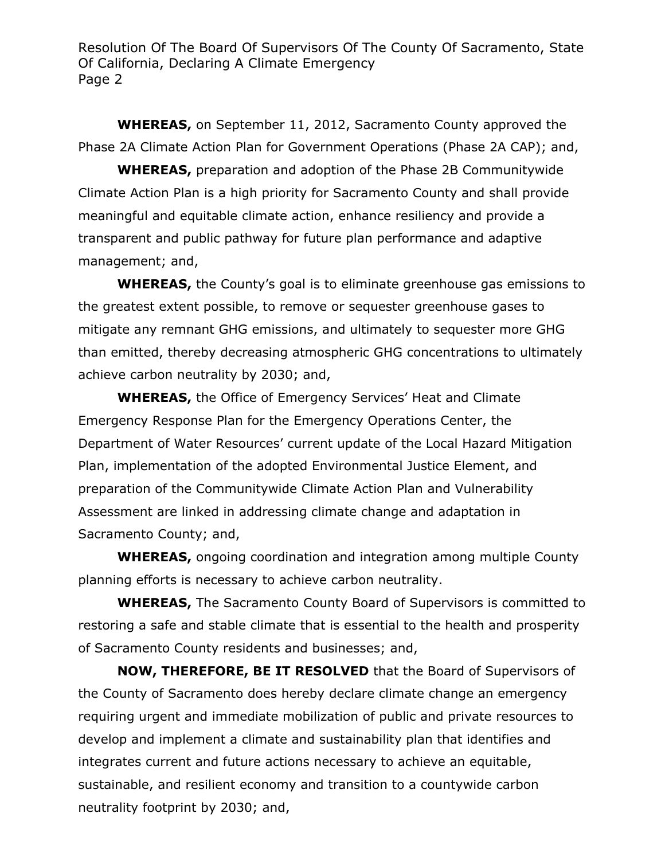**WHEREAS,** on September 11, 2012, Sacramento County approved the Phase 2A Climate Action Plan for Government Operations (Phase 2A CAP); and,

**WHEREAS,** preparation and adoption of the Phase 2B Communitywide Climate Action Plan is a high priority for Sacramento County and shall provide meaningful and equitable climate action, enhance resiliency and provide a transparent and public pathway for future plan performance and adaptive management; and,

**WHEREAS,** the County's goal is to eliminate greenhouse gas emissions to the greatest extent possible, to remove or sequester greenhouse gases to mitigate any remnant GHG emissions, and ultimately to sequester more GHG than emitted, thereby decreasing atmospheric GHG concentrations to ultimately achieve carbon neutrality by 2030; and,

**WHEREAS,** the Office of Emergency Services' Heat and Climate Emergency Response Plan for the Emergency Operations Center, the Department of Water Resources' current update of the Local Hazard Mitigation Plan, implementation of the adopted Environmental Justice Element, and preparation of the Communitywide Climate Action Plan and Vulnerability Assessment are linked in addressing climate change and adaptation in Sacramento County; and,

**WHEREAS,** ongoing coordination and integration among multiple County planning efforts is necessary to achieve carbon neutrality.

**WHEREAS,** The Sacramento County Board of Supervisors is committed to restoring a safe and stable climate that is essential to the health and prosperity of Sacramento County residents and businesses; and,

**NOW, THEREFORE, BE IT RESOLVED** that the Board of Supervisors of the County of Sacramento does hereby declare climate change an emergency requiring urgent and immediate mobilization of public and private resources to develop and implement a climate and sustainability plan that identifies and integrates current and future actions necessary to achieve an equitable, sustainable, and resilient economy and transition to a countywide carbon neutrality footprint by 2030; and,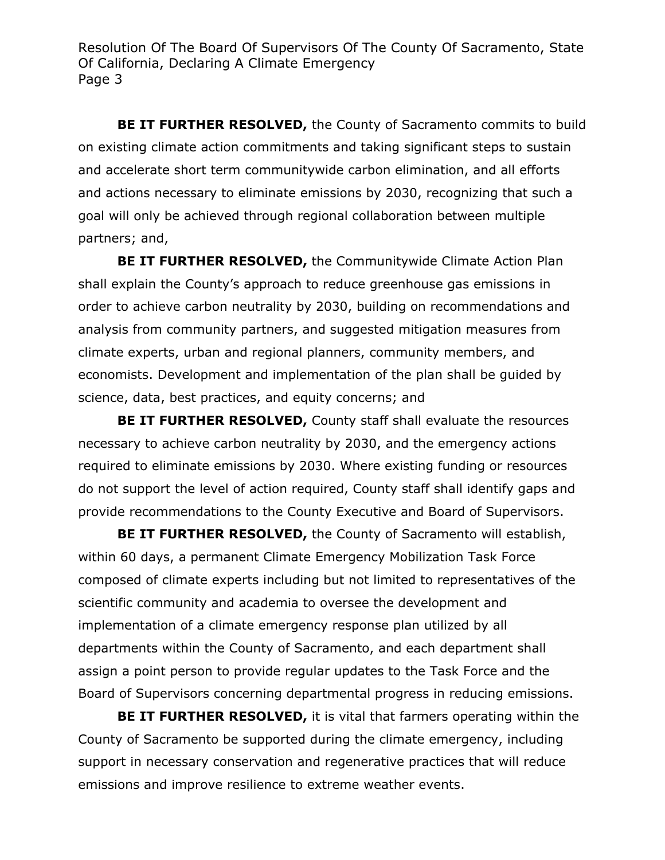**BE IT FURTHER RESOLVED, the County of Sacramento commits to build** on existing climate action commitments and taking significant steps to sustain and accelerate short term communitywide carbon elimination, and all efforts and actions necessary to eliminate emissions by 2030, recognizing that such a goal will only be achieved through regional collaboration between multiple partners; and,

**BE IT FURTHER RESOLVED,** the Communitywide Climate Action Plan shall explain the County's approach to reduce greenhouse gas emissions in order to achieve carbon neutrality by 2030, building on recommendations and analysis from community partners, and suggested mitigation measures from climate experts, urban and regional planners, community members, and economists. Development and implementation of the plan shall be guided by science, data, best practices, and equity concerns; and

**BE IT FURTHER RESOLVED,** County staff shall evaluate the resources necessary to achieve carbon neutrality by 2030, and the emergency actions required to eliminate emissions by 2030. Where existing funding or resources do not support the level of action required, County staff shall identify gaps and provide recommendations to the County Executive and Board of Supervisors.

**BE IT FURTHER RESOLVED,** the County of Sacramento will establish, within 60 days, a permanent Climate Emergency Mobilization Task Force composed of climate experts including but not limited to representatives of the scientific community and academia to oversee the development and implementation of a climate emergency response plan utilized by all departments within the County of Sacramento, and each department shall assign a point person to provide regular updates to the Task Force and the Board of Supervisors concerning departmental progress in reducing emissions.

**BE IT FURTHER RESOLVED,** it is vital that farmers operating within the County of Sacramento be supported during the climate emergency, including support in necessary conservation and regenerative practices that will reduce emissions and improve resilience to extreme weather events.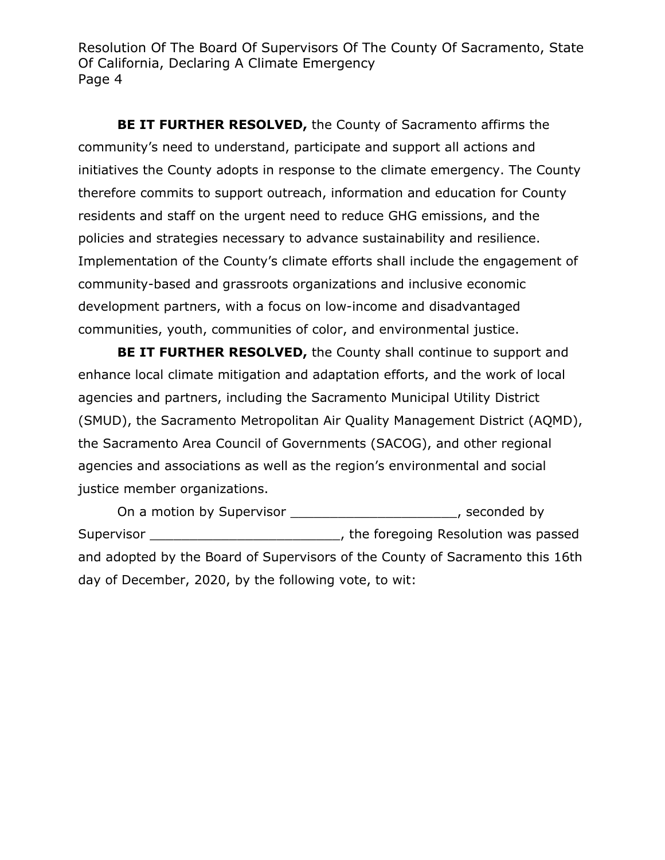**BE IT FURTHER RESOLVED,** the County of Sacramento affirms the community's need to understand, participate and support all actions and initiatives the County adopts in response to the climate emergency. The County therefore commits to support outreach, information and education for County residents and staff on the urgent need to reduce GHG emissions, and the policies and strategies necessary to advance sustainability and resilience. Implementation of the County's climate efforts shall include the engagement of community-based and grassroots organizations and inclusive economic development partners, with a focus on low-income and disadvantaged communities, youth, communities of color, and environmental justice.

**BE IT FURTHER RESOLVED,** the County shall continue to support and enhance local climate mitigation and adaptation efforts, and the work of local agencies and partners, including the Sacramento Municipal Utility District (SMUD), the Sacramento Metropolitan Air Quality Management District (AQMD), the Sacramento Area Council of Governments (SACOG), and other regional agencies and associations as well as the region's environmental and social justice member organizations.

On a motion by Supervisor \_\_\_\_\_\_\_\_\_\_\_\_\_\_\_\_\_\_\_\_\_\_\_\_\_, seconded by Supervisor \_\_\_\_\_\_\_\_\_\_\_\_\_\_\_\_\_\_\_\_\_\_\_\_\_\_\_\_\_\_\_\_, the foregoing Resolution was passed and adopted by the Board of Supervisors of the County of Sacramento this 16th day of December, 2020, by the following vote, to wit: